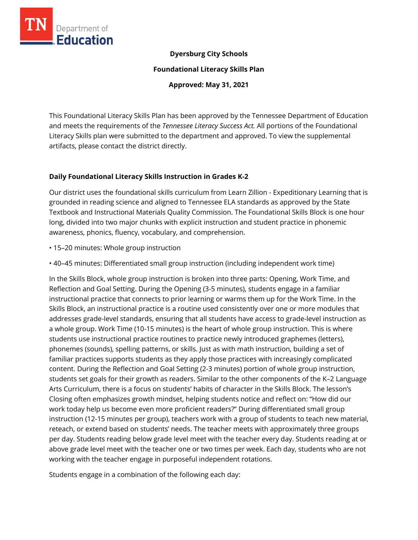

## **Dyersburg City Schools**

**Foundational Literacy Skills Plan**

**Approved: May 31, 2021**

This Foundational Literacy Skills Plan has been approved by the Tennessee Department of Education and meets the requirements of the *Tennessee Literacy Success Act.* All portions of the Foundational Literacy Skills plan were submitted to the department and approved. To view the supplemental artifacts, please contact the district directly.

### **Daily Foundational Literacy Skills Instruction in Grades K-2**

Our district uses the foundational skills curriculum from Learn Zillion - Expeditionary Learning that is grounded in reading science and aligned to Tennessee ELA standards as approved by the State Textbook and Instructional Materials Quality Commission. The Foundational Skills Block is one hour long, divided into two major chunks with explicit instruction and student practice in phonemic awareness, phonics, fluency, vocabulary, and comprehension.

- 15–20 minutes: Whole group instruction
- 40–45 minutes: Differentiated small group instruction (including independent work time)

In the Skills Block, whole group instruction is broken into three parts: Opening, Work Time, and Reflection and Goal Setting. During the Opening (3-5 minutes), students engage in a familiar instructional practice that connects to prior learning or warms them up for the Work Time. In the Skills Block, an instructional practice is a routine used consistently over one or more modules that addresses grade-level standards, ensuring that all students have access to grade-level instruction as a whole group. Work Time (10-15 minutes) is the heart of whole group instruction. This is where students use instructional practice routines to practice newly introduced graphemes (letters), phonemes (sounds), spelling patterns, or skills. Just as with math instruction, building a set of familiar practices supports students as they apply those practices with increasingly complicated content. During the Reflection and Goal Setting (2-3 minutes) portion of whole group instruction, students set goals for their growth as readers. Similar to the other components of the K–2 Language Arts Curriculum, there is a focus on students' habits of character in the Skills Block. The lesson's Closing often emphasizes growth mindset, helping students notice and reflect on: "How did our work today help us become even more proficient readers?" During differentiated small group instruction (12-15 minutes per group), teachers work with a group of students to teach new material, reteach, or extend based on students' needs. The teacher meets with approximately three groups per day. Students reading below grade level meet with the teacher every day. Students reading at or above grade level meet with the teacher one or two times per week. Each day, students who are not working with the teacher engage in purposeful independent rotations.

Students engage in a combination of the following each day: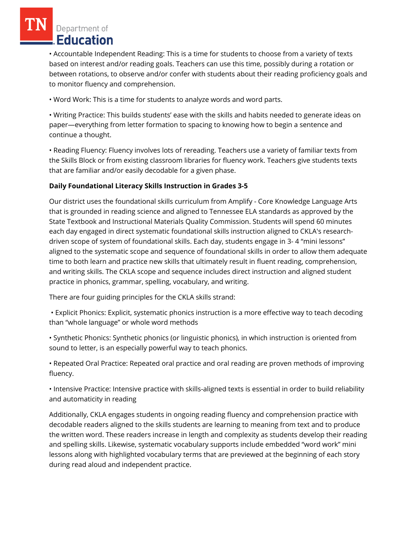# Department of Education

• Accountable Independent Reading: This is a time for students to choose from a variety of texts based on interest and/or reading goals. Teachers can use this time, possibly during a rotation or between rotations, to observe and/or confer with students about their reading proficiency goals and to monitor fluency and comprehension.

• Word Work: This is a time for students to analyze words and word parts.

• Writing Practice: This builds students' ease with the skills and habits needed to generate ideas on paper—everything from letter formation to spacing to knowing how to begin a sentence and continue a thought.

• Reading Fluency: Fluency involves lots of rereading. Teachers use a variety of familiar texts from the Skills Block or from existing classroom libraries for fluency work. Teachers give students texts that are familiar and/or easily decodable for a given phase.

## **Daily Foundational Literacy Skills Instruction in Grades 3-5**

Our district uses the foundational skills curriculum from Amplify - Core Knowledge Language Arts that is grounded in reading science and aligned to Tennessee ELA standards as approved by the State Textbook and Instructional Materials Quality Commission. Students will spend 60 minutes each day engaged in direct systematic foundational skills instruction aligned to CKLA's researchdriven scope of system of foundational skills. Each day, students engage in 3- 4 "mini lessons" aligned to the systematic scope and sequence of foundational skills in order to allow them adequate time to both learn and practice new skills that ultimately result in fluent reading, comprehension, and writing skills. The CKLA scope and sequence includes direct instruction and aligned student practice in phonics, grammar, spelling, vocabulary, and writing.

There are four guiding principles for the CKLA skills strand:

• Explicit Phonics: Explicit, systematic phonics instruction is a more effective way to teach decoding than "whole language" or whole word methods

• Synthetic Phonics: Synthetic phonics (or linguistic phonics), in which instruction is oriented from sound to letter, is an especially powerful way to teach phonics.

• Repeated Oral Practice: Repeated oral practice and oral reading are proven methods of improving fluency.

• Intensive Practice: Intensive practice with skills-aligned texts is essential in order to build reliability and automaticity in reading

Additionally, CKLA engages students in ongoing reading fluency and comprehension practice with decodable readers aligned to the skills students are learning to meaning from text and to produce the written word. These readers increase in length and complexity as students develop their reading and spelling skills. Likewise, systematic vocabulary supports include embedded "word work" mini lessons along with highlighted vocabulary terms that are previewed at the beginning of each story during read aloud and independent practice.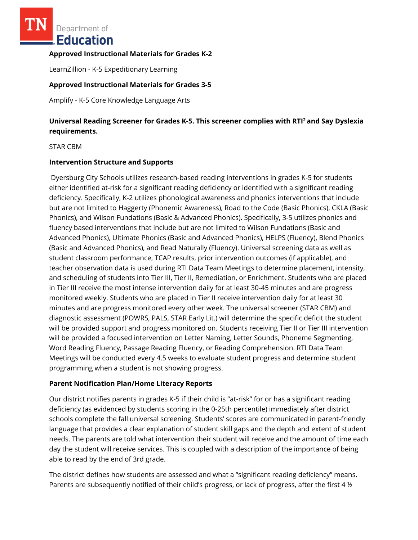Department of Education

#### **Approved Instructional Materials for Grades K-2**

LearnZillion - K-5 Expeditionary Learning

#### **Approved Instructional Materials for Grades 3-5**

Amplify - K-5 Core Knowledge Language Arts

## **Universal Reading Screener for Grades K-5. This screener complies with RTI<sup>2</sup>and Say Dyslexia requirements.**

STAR CBM

#### **Intervention Structure and Supports**

Dyersburg City Schools utilizes research-based reading interventions in grades K-5 for students either identified at-risk for a significant reading deficiency or identified with a significant reading deficiency. Specifically, K-2 utilizes phonological awareness and phonics interventions that include but are not limited to Haggerty (Phonemic Awareness), Road to the Code (Basic Phonics), CKLA (Basic Phonics), and Wilson Fundations (Basic & Advanced Phonics). Specifically, 3-5 utilizes phonics and fluency based interventions that include but are not limited to Wilson Fundations (Basic and Advanced Phonics), Ultimate Phonics (Basic and Advanced Phonics), HELPS (Fluency), Blend Phonics (Basic and Advanced Phonics), and Read Naturally (Fluency). Universal screening data as well as student classroom performance, TCAP results, prior intervention outcomes (if applicable), and teacher observation data is used during RTI Data Team Meetings to determine placement, intensity, and scheduling of students into Tier III, Tier II, Remediation, or Enrichment. Students who are placed in Tier III receive the most intense intervention daily for at least 30-45 minutes and are progress monitored weekly. Students who are placed in Tier II receive intervention daily for at least 30 minutes and are progress monitored every other week. The universal screener (STAR CBM) and diagnostic assessment (POWRS, PALS, STAR Early Lit.) will determine the specific deficit the student will be provided support and progress monitored on. Students receiving Tier II or Tier III intervention will be provided a focused intervention on Letter Naming, Letter Sounds, Phoneme Segmenting, Word Reading Fluency, Passage Reading Fluency, or Reading Comprehension. RTI Data Team Meetings will be conducted every 4.5 weeks to evaluate student progress and determine student programming when a student is not showing progress.

#### **Parent Notification Plan/Home Literacy Reports**

Our district notifies parents in grades K-5 if their child is "at-risk" for or has a significant reading deficiency (as evidenced by students scoring in the 0-25th percentile) immediately after district schools complete the fall universal screening. Students' scores are communicated in parent-friendly language that provides a clear explanation of student skill gaps and the depth and extent of student needs. The parents are told what intervention their student will receive and the amount of time each day the student will receive services. This is coupled with a description of the importance of being able to read by the end of 3rd grade.

The district defines how students are assessed and what a "significant reading deficiency" means. Parents are subsequently notified of their child's progress, or lack of progress, after the first 4  $\frac{1}{2}$